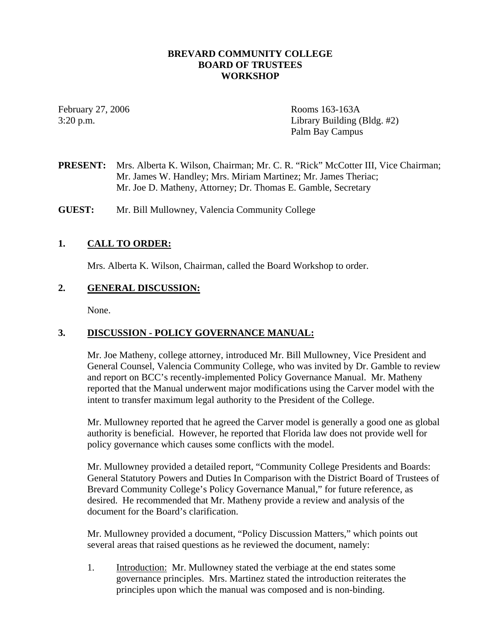## **BREVARD COMMUNITY COLLEGE BOARD OF TRUSTEES WORKSHOP**

February 27, 2006 Rooms 163-163A 3:20 p.m. Library Building (Bldg. #2) Palm Bay Campus

**PRESENT:** Mrs. Alberta K. Wilson, Chairman; Mr. C. R. "Rick" McCotter III, Vice Chairman; Mr. James W. Handley; Mrs. Miriam Martinez; Mr. James Theriac; Mr. Joe D. Matheny, Attorney; Dr. Thomas E. Gamble, Secretary

**GUEST:** Mr. Bill Mullowney, Valencia Community College

## **1. CALL TO ORDER:**

Mrs. Alberta K. Wilson, Chairman, called the Board Workshop to order.

## **2. GENERAL DISCUSSION:**

None.

## **3. DISCUSSION - POLICY GOVERNANCE MANUAL:**

Mr. Joe Matheny, college attorney, introduced Mr. Bill Mullowney, Vice President and General Counsel, Valencia Community College, who was invited by Dr. Gamble to review and report on BCC's recently-implemented Policy Governance Manual. Mr. Matheny reported that the Manual underwent major modifications using the Carver model with the intent to transfer maximum legal authority to the President of the College.

Mr. Mullowney reported that he agreed the Carver model is generally a good one as global authority is beneficial. However, he reported that Florida law does not provide well for policy governance which causes some conflicts with the model.

Mr. Mullowney provided a detailed report, "Community College Presidents and Boards: General Statutory Powers and Duties In Comparison with the District Board of Trustees of Brevard Community College's Policy Governance Manual," for future reference, as desired. He recommended that Mr. Matheny provide a review and analysis of the document for the Board's clarification.

Mr. Mullowney provided a document, "Policy Discussion Matters," which points out several areas that raised questions as he reviewed the document, namely:

1. Introduction: Mr. Mullowney stated the verbiage at the end states some governance principles. Mrs. Martinez stated the introduction reiterates the principles upon which the manual was composed and is non-binding.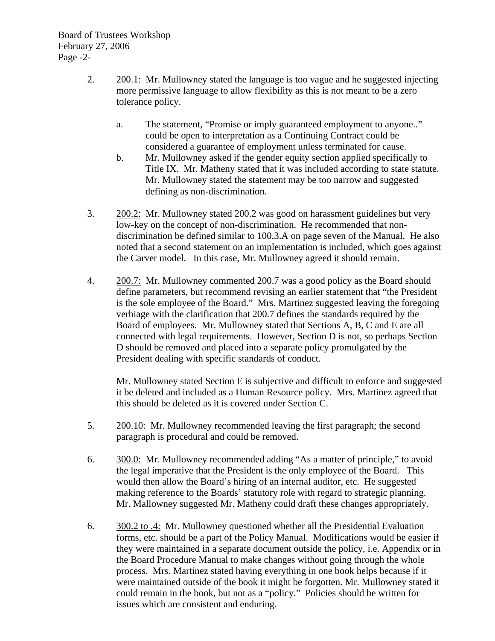- 2. 200.1: Mr. Mullowney stated the language is too vague and he suggested injecting more permissive language to allow flexibility as this is not meant to be a zero tolerance policy.
	- a. The statement, "Promise or imply guaranteed employment to anyone.." could be open to interpretation as a Continuing Contract could be considered a guarantee of employment unless terminated for cause.
	- b. Mr. Mullowney asked if the gender equity section applied specifically to Title IX. Mr. Matheny stated that it was included according to state statute. Mr. Mullowney stated the statement may be too narrow and suggested defining as non-discrimination.
- 3. 200.2: Mr. Mullowney stated 200.2 was good on harassment guidelines but very low-key on the concept of non-discrimination. He recommended that nondiscrimination be defined similar to 100.3.A on page seven of the Manual. He also noted that a second statement on an implementation is included, which goes against the Carver model. In this case, Mr. Mullowney agreed it should remain.
- 4. 200.7: Mr. Mullowney commented 200.7 was a good policy as the Board should define parameters, but recommend revising an earlier statement that "the President is the sole employee of the Board." Mrs. Martinez suggested leaving the foregoing verbiage with the clarification that 200.7 defines the standards required by the Board of employees. Mr. Mullowney stated that Sections A, B, C and E are all connected with legal requirements. However, Section D is not, so perhaps Section D should be removed and placed into a separate policy promulgated by the President dealing with specific standards of conduct.

Mr. Mullowney stated Section E is subjective and difficult to enforce and suggested it be deleted and included as a Human Resource policy. Mrs. Martinez agreed that this should be deleted as it is covered under Section C.

- 5. 200.10: Mr. Mullowney recommended leaving the first paragraph; the second paragraph is procedural and could be removed.
- 6. 300.0: Mr. Mullowney recommended adding "As a matter of principle," to avoid the legal imperative that the President is the only employee of the Board. This would then allow the Board's hiring of an internal auditor, etc. He suggested making reference to the Boards' statutory role with regard to strategic planning. Mr. Mallowney suggested Mr. Matheny could draft these changes appropriately.
- 6. 300.2 to .4: Mr. Mullowney questioned whether all the Presidential Evaluation forms, etc. should be a part of the Policy Manual. Modifications would be easier if they were maintained in a separate document outside the policy, i.e. Appendix or in the Board Procedure Manual to make changes without going through the whole process. Mrs. Martinez stated having everything in one book helps because if it were maintained outside of the book it might be forgotten. Mr. Mullowney stated it could remain in the book, but not as a "policy." Policies should be written for issues which are consistent and enduring.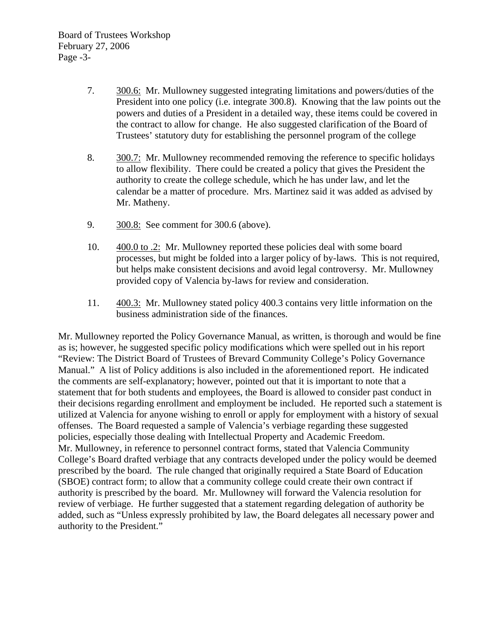- 7. 300.6: Mr. Mullowney suggested integrating limitations and powers/duties of the President into one policy (i.e. integrate 300.8). Knowing that the law points out the powers and duties of a President in a detailed way, these items could be covered in the contract to allow for change. He also suggested clarification of the Board of Trustees' statutory duty for establishing the personnel program of the college
- 8. 300.7: Mr. Mullowney recommended removing the reference to specific holidays to allow flexibility. There could be created a policy that gives the President the authority to create the college schedule, which he has under law, and let the calendar be a matter of procedure. Mrs. Martinez said it was added as advised by Mr. Matheny.
- 9. 300.8: See comment for 300.6 (above).
- 10. 400.0 to .2: Mr. Mullowney reported these policies deal with some board processes, but might be folded into a larger policy of by-laws. This is not required, but helps make consistent decisions and avoid legal controversy. Mr. Mullowney provided copy of Valencia by-laws for review and consideration.
- 11. 400.3: Mr. Mullowney stated policy 400.3 contains very little information on the business administration side of the finances.

Mr. Mullowney reported the Policy Governance Manual, as written, is thorough and would be fine as is; however, he suggested specific policy modifications which were spelled out in his report "Review: The District Board of Trustees of Brevard Community College's Policy Governance Manual." A list of Policy additions is also included in the aforementioned report. He indicated the comments are self-explanatory; however, pointed out that it is important to note that a statement that for both students and employees, the Board is allowed to consider past conduct in their decisions regarding enrollment and employment be included. He reported such a statement is utilized at Valencia for anyone wishing to enroll or apply for employment with a history of sexual offenses. The Board requested a sample of Valencia's verbiage regarding these suggested policies, especially those dealing with Intellectual Property and Academic Freedom. Mr. Mullowney, in reference to personnel contract forms, stated that Valencia Community College's Board drafted verbiage that any contracts developed under the policy would be deemed prescribed by the board. The rule changed that originally required a State Board of Education (SBOE) contract form; to allow that a community college could create their own contract if authority is prescribed by the board. Mr. Mullowney will forward the Valencia resolution for review of verbiage. He further suggested that a statement regarding delegation of authority be added, such as "Unless expressly prohibited by law, the Board delegates all necessary power and authority to the President."